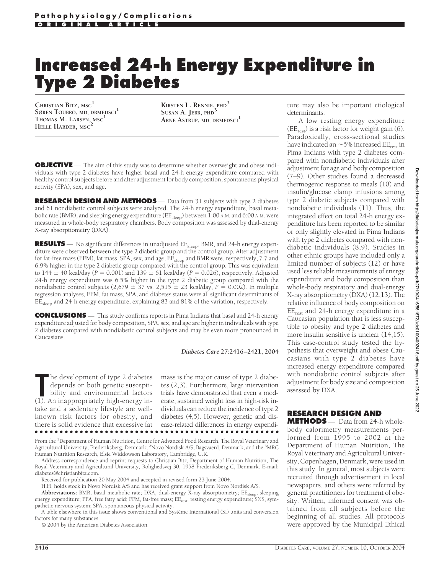# **Increased 24-h Energy Expenditure in Type 2 Diabetes**

**CHRISTIAN BITZ, MSC<sup>1</sup> SØREN TOUBRO, MD, DRMEDSCI<sup>1</sup> THOMAS M. LARSEN, MSC<sup>1</sup> HELLE HARDER, MSC<sup>2</sup>**

**KIRSTEN L. RENNIE, PHD<sup>3</sup> SUSAN A. JEBB, PHD<sup>3</sup> ARNE ASTRUP, MD, DRMEDSCI<sup>1</sup>**

**OBJECTIVE** — The aim of this study was to determine whether overweight and obese individuals with type 2 diabetes have higher basal and 24-h energy expenditure compared with healthy control subjects before and after adjustment for body composition, spontaneous physical activity (SPA), sex, and age.

**RESEARCH DESIGN AND METHODS** — Data from 31 subjects with type 2 diabetes and 61 nondiabetic control subjects were analyzed. The 24-h energy expenditure, basal metabolic rate (BMR), and sleeping energy expenditure ( $EE_{\text{s}len}$ ) between 1:00 A.M. and 6:00 A.M. were measured in whole-body respiratory chambers. Body composition was assessed by dual-energy X-ray absorptiometry (DXA).

**RESULTS** — No significant differences in unadjusted EE<sub>sleep</sub>, BMR, and 24-h energy expenditure were observed between the type 2 diabetic group and the control group. After adjustment for fat-free mass (FFM), fat mass, SPA, sex, and age,  $EE_{sleep}$  and BMR were, respectively, 7.7 and 6.9% higher in the type 2 diabetic group compared with the control group. This was equivalent to  $144 \pm 40$  kcal/day ( $P = 0.001$ ) and  $139 \pm 61$  kcal/day ( $P = 0.026$ ), respectively. Adjusted 24-h energy expenditure was 6.5% higher in the type 2 diabetic group compared with the nondiabetic control subjects  $(2,679 \pm 37 \text{ vs. } 2,515 \pm 23 \text{ kcal/day}, P = 0.002)$ . In multiple regression analyses, FFM, fat mass, SPA, and diabetes status were all significant determinants of EE<sub>sleep</sub> and 24-h energy expenditure, explaining 83 and 81% of the variation, respectively.

**CONCLUSIONS** — This study confirms reports in Pima Indians that basal and 24-h energy expenditure adjusted for body composition, SPA, sex, and age are higher in individuals with type 2 diabetes compared with nondiabetic control subjects and may be even more pronounced in Caucasians.

#### *Diabetes Care* **27:2416–2421, 2004**

The development of type 2 diabetes<br>
depends on both genetic suscepti-<br>
bility and environmental factors<br>
(1). An inappropriately high-energy inhe development of type 2 diabetes depends on both genetic susceptibility and environmental factors take and a sedentary lifestyle are wellknown risk factors for obesity, and there is solid evidence that excessive fat

mass is the major cause of type 2 diabetes (2,3). Furthermore, large intervention trials have demonstrated that even a moderate, sustained weight loss in high-risk individuals can reduce the incidence of type 2 diabetes (4,5). However, genetic and disease-related differences in energy expendi-●●●●●●●●●●●●●●●●●●●●●●●●●●●●●●●●●●●●●●●●●●●●●●●●●

From the <sup>1</sup>Department of Human Nutrition, Centre for Advanced Food Research, The Royal Veterinary and Agricultural University, Frederiksberg, Denmark; <sup>2</sup>Novo Nordisk A/S, Bagsvaerd, Denmark; and the <sup>3</sup>MRC Human Nutrition Research, Elsie Widdowson Laboratory, Cambridge, U.K.

Address correspondence and reprint requests to Christian Bitz, Department of Human Nutrition, The Royal Veterinary and Agricultural University, Rolighedsvej 30, 1958 Frederiksberg C, Denmark. E-mail: diabetes@christianbitz.com.

Received for publication 20 May 2004 and accepted in revised form 23 June 2004.

H.H. holds stock in Novo Nordisk A/S and has received grant support from Novo Nordisk A/S.

Abbreviations: BMR, basal metabolic rate; DXA, dual-energy X-ray absorptiometry; EE<sub>sleep</sub>, sleeping energy expenditure; FFA, free fatty acid; FFM, fat-free mass; EE<sub>rest</sub>, resting energy expenditure; SNS, sympathetic nervous system; SPA, spontaneous physical activity.

A table elsewhere in this issue shows conventional and Système International (SI) units and conversion factors for many substances.

© 2004 by the American Diabetes Association.

ture may also be important etiological determinants.

A low resting energy expenditure  $(EE<sub>rest</sub>)$  is a risk factor for weight gain (6). Paradoxically, cross-sectional studies have indicated an  $\sim$  5% increased EE<sub>rest</sub> in Pima Indians with type 2 diabetes compared with nondiabetic individuals after adjustment for age and body composition (7–9). Other studies found a decreased thermogenic response to meals (10) and insulin/glucose clamp infusions among type 2 diabetic subjects compared with nondiabetic individuals (11). Thus, the integrated effect on total 24-h energy expenditure has been reported to be similar or only slightly elevated in Pima Indians with type 2 diabetes compared with nondiabetic individuals (8,9). Studies in other ethnic groups have included only a limited number of subjects (12) or have used less reliable measurements of energy expenditure and body composition than whole-body respiratory and dual-energy X-ray absorptiometry (DXA) (12,13). The relative influence of body composition on EE<sub>rest</sub> and 24-h energy expenditure in a Caucasian population that is less susceptible to obesity and type 2 diabetes and more insulin sensitive is unclear (14,15). This case-control study tested the hypothesis that overweight and obese Caucasians with type 2 diabetes have increased energy expenditure compared with nondiabetic control subjects after adjustment for body size and composition assessed by DXA.

## **RESEARCH DESIGN AND**

**METHODS** — Data from 24-h wholebody calorimetry measurements performed from 1995 to 2002 at the Department of Human Nutrition, The Royal Veterinary and Agricultural University, Copenhagen, Denmark, were used in this study. In general, most subjects were recruited through advertisement in local newspapers, and others were referred by general practitioners for treatment of obesity. Written, informed consent was obtained from all subjects before the beginning of all studies. All protocols were approved by the Municipal Ethical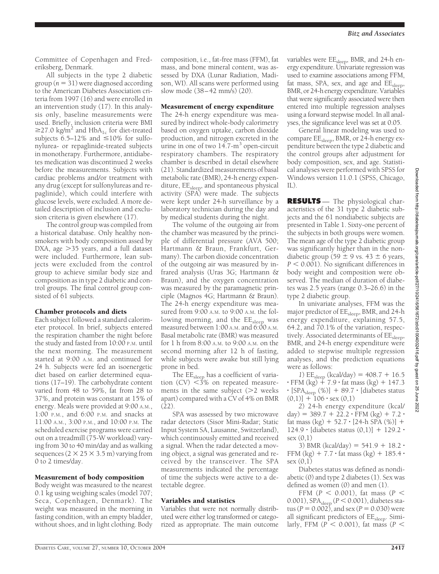Committee of Copenhagen and Frederiksberg, Denmark.

All subjects in the type 2 diabetic  $\text{group}(n=31)$  were diagnosed according to the American Diabetes Association criteria from 1997 (16) and were enrolled in an intervention study (17). In this analysis only, baseline measurements were used. Briefly, inclusion criteria were BMI  $\geq$ 27.0 kg/m<sup>2</sup> and HbA<sub>1c</sub> for diet-treated subjects  $6.5-12\%$  and  $\leq 10\%$  for sulfonylurea- or repaglinide-treated subjects in monotherapy. Furthermore, antidiabetes medication was discontinued 2 weeks before the measurements. Subjects with cardiac problems and/or treatment with any drug (except for sulfonylureas and repaglinide), which could interfere with glucose levels, were excluded. A more detailed description of inclusion and exclusion criteria is given elsewhere (17).

The control group was compiled from a historical database. Only healthy nonsmokers with body composition assed by DXA, age  $>35$  years, and a full dataset were included. Furthermore, lean subjects were excluded from the control group to achieve similar body size and composition as in type 2 diabetic and control groups. The final control group consisted of 61 subjects.

### Chamber protocols and diets

Each subject followed a standard calorimeter protocol. In brief, subjects entered the respiration chamber the night before the study and fasted from 10:00 P.M. until the next morning. The measurement started at 9:00 A.M. and continued for 24 h. Subjects were fed an isoenergetic diet based on earlier determined equations (17–19). The carbohydrate content varied from 48 to 59%, fat from 28 to 37%, and protein was constant at 15% of energy. Meals were provided at 9:00 A.M., 1:00 P.M., and 6:00 P.M. and snacks at 11:00 A.M., 3:00 P.M., and 10:00 P.M. The scheduled exercise programs were carried out on a treadmill (75-W workload) varying from 30 to 40 min/day and as walking sequences  $(2 \times 25 \times 3.5 \text{ m})$  varying from 0 to 2 times/day.

#### Measurement of body composition

Body weight was measured to the nearest 0.1 kg using weighing scales (model 707; Seca, Copenhagen, Denmark). The weight was measured in the morning in fasting condition, with an empty bladder, without shoes, and in light clothing. Body composition, i.e., fat-free mass (FFM), fat mass, and bone mineral content, was assessed by DXA (Lunar Radiation, Madison, WI). All scans were performed using slow mode (38–42 mm/s) (20).

#### Measurement of energy expenditure

The 24-h energy expenditure was measured by indirect whole-body calorimetry based on oxygen uptake, carbon dioxide production, and nitrogen excreted in the urine in one of two  $14.7 \text{-} m<sup>3</sup>$  open-circuit respiratory chambers. The respiratory chamber is described in detail elsewhere (21). Standardized measurements of basal metabolic rate (BMR), 24-h energy expenditure, EE<sub>sleep</sub>, and spontaneous physical activity (SPA) were made. The subjects were kept under 24-h surveillance by a laboratory technician during the day and by medical students during the night.

The volume of the outgoing air from the chamber was measured by the principle of differential pressure (AVA 500; Hartmann & Braun, Frankfurt, Germany). The carbon dioxide concentration of the outgoing air was measured by infrared analysis (Uras 3G; Hartmann & Braun), and the oxygen concentration was measured by the paramagnetic principle (Magnos 4G; Hartmann & Braun). The 24-h energy expenditure was measured from 9:00 A.M. to 9:00 A.M. the following morning, and the EE<sub>sleep</sub> was measured between 1:00 A.M. and 6:00 A.M. Basal metabolic rate (BMR) was measured for 1 h from 8:00 A.M. to 9:00 A.M. on the second morning after 12 h of fasting, while subjects were awake but still lying prone in bed.

The  $\text{EE}_{\text{sleep}}$  has a coefficient of variation (CV)  $\leq 3\%$  on repeated measurements in the same subject  $(>= 2$  weeks apart) compared with a CV of 4% on BMR (22).

SPA was assessed by two microwave radar detectors (Sisor Mini-Radar; Static Input System SA, Lausanne, Switzerland), which continuously emitted and received a signal. When the radar detected a moving object, a signal was generated and received by the transceiver. The SPA measurements indicated the percentage of time the subjects were active to a detectable degree.

#### Variables and statistics

Variables that were not normally distributed were either log transformed or categorized as appropriate. The main outcome variables were  $\text{EE}_{\text{sleep}}$ , BMR, and 24-h energy expenditure. Univariate regression was used to examine associations among FFM, fat mass, SPA, sex, and age and  $EE$ <sub>sleep</sub>, BMR, or 24-h energy expenditure. Variables that were significantly associated were then entered into multiple regression analyses using a forward stepwise model. In all analyses, the significance level was set at 0.05.

General linear modeling was used to compare EE<sub>sleep</sub>, BMR, or 24-h energy expenditure between the type 2 diabetic and the control groups after adjustment for body composition, sex, and age. Statistical analyses were performed with SPSS for Windows version 11.0.1 (SPSS, Chicago, IL).

**RESULTS** — The physiological characteristics of the 31 type 2 diabetic subjects and the 61 nondiabetic subjects are presented in Table 1. Sixty-one percent of the subjects in both groups were women. The mean age of the type 2 diabetic group was significantly higher than in the nondiabetic group (59  $\pm$  9 vs. 43  $\pm$  6 years, *P* < 0.001). No significant differences in body weight and composition were observed. The median of duration of diabetes was 2.5 years (range 0.3–26.6) in the type 2 diabetic group.

In univariate analyses, FFM was the major predictor of EE<sub>sleep</sub>, BMR, and 24-h energy expenditure, explaining 57.5, 64.2, and 70.1% of the variation, respectively. Associated determinants of EE<sub>sleep</sub>, BMR, and 24-h energy expenditure were added to stepwise multiple regression analyses, and the prediction equations were as follows:

*1*)  $EE_{\text{sleep}}$  (kcal/day) = 408.7 + 16.5 • FFM (kg) + 7.9 • fat mass (kg) + 147.3  $\cdot$  [SPA<sub>sleep</sub> (%)] + 89.7  $\cdot$  [diabetes status  $(0,1)] + 106 \cdot \text{sex } (0,1)$ 

*2*) 24-h energy expenditure (kcal/  $day) = 389.7 + 22.2 \cdot FFM (kg) + 7.2 \cdot$ fat mass  $(kg) + 52.7 \cdot [24-h SPA (\%)] +$  $124.9 \cdot$  [diabetes status  $(0,1)$ ] + 129.2  $\cdot$ sex (0,1)

3) BMR (kcal/day) =  $541.9 + 18.2$ FFM  $(kg) + 7.7 \cdot \text{fat mass} (kg) + 185.4 \cdot$  $sex (0.1)$ 

Diabetes status was defined as nondiabetic (0) and type 2 diabetes (1). Sex was defined as women (0) and men (1).

FFM  $(P < 0.001)$ , fat mass  $(P <$ 0.001), SPA<sub>sleep</sub> (*P* < 0.001), diabetes status ( $P = 0.002$ ), and sex ( $P = 0.030$ ) were all significant predictors of EE<sub>sleep</sub>. Similarly, FFM ( $P < 0.001$ ), fat mass ( $P <$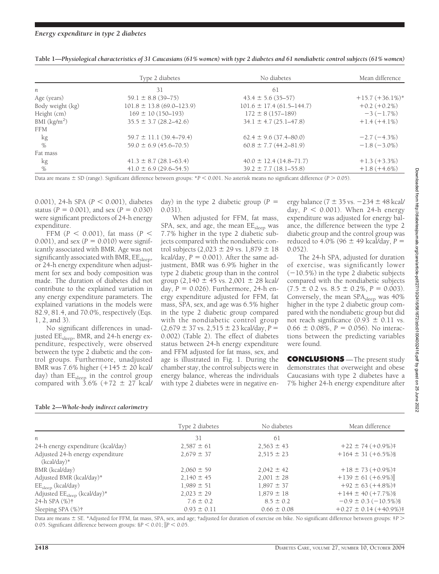|                  | Type 2 diabetes                 | No diabetes                    | Mean difference     |
|------------------|---------------------------------|--------------------------------|---------------------|
| n                | 31                              | 61                             |                     |
| Age (years)      | $59.1 \pm 8.8$ (39-75)          | $43.4 \pm 5.6$ (35-57)         | $+15.7 (+36.1\%)$ * |
| Body weight (kg) | $101.8 \pm 13.8$ (69.0-123.9)   | $101.6 \pm 17.4(61.5 - 144.7)$ | $+0.2(+0.2\%)$      |
| Height (cm)      | $169 \pm 10(150 - 193)$         | $172 \pm 8(157 - 189)$         | $-3(-1.7\%)$        |
| BMI $(kg/m2)$    | $35.5 \pm 3.7 (28.2 - 42.6)$    | $34.1 \pm 4.7 (25.1 - 47.8)$   | $+1.4(+4.1\%)$      |
| <b>FFM</b>       |                                 |                                |                     |
| kg               | $59.7 \pm 11.1$ (39.4-79.4)     | $62.4 \pm 9.6$ (37.4–80.0)     | $-2.7(-4.3%)$       |
| $\%$             | $59.0 \pm 6.9 (45.6 - 70.5)$    | $60.8 \pm 7.7(44.2 - 81.9)$    | $-1.8(-3.0\%)$      |
| Fat mass         |                                 |                                |                     |
| kg               | $41.3 \pm 8.7 \, (28.1 - 63.4)$ | $40.0 \pm 12.4(14.8 - 71.7)$   | $+1.3 (+3.3%)$      |
| %                | $41.0 \pm 6.9$ (29.6–54.5)      | $39.2 \pm 7.7$ (18.1–55.8)     | $+1.8(+4.6\%)$      |

**Table 1—***Physiological characteristics of 31 Caucasians (61% women) with type 2 diabetes and 61 nondiabetic control subjects (61% women)*

Data are means  $\pm$  SD (range). Significant difference between groups: \**P* < 0.001. No asterisk means no significant difference (*P* > 0.05).

0.001), 24-h SPA ( $P < 0.001$ ), diabetes status ( $P = 0.001$ ), and sex ( $P = 0.030$ ) were significant predictors of 24-h energy expenditure.

FFM  $(P < 0.001)$ , fat mass  $(P <$ 0.001), and sex  $(P = 0.010)$  were significantly associated with BMR. Age was not significantly associated with BMR, EE<sub>sleep</sub>, or 24-h energy expenditure when adjustment for sex and body composition was made. The duration of diabetes did not contribute to the explained variation in any energy expenditure parameters. The explained variations in the models were 82.9, 81.4, and 70.0%, respectively (Eqs. 1, 2, and 3).

No significant differences in unadjusted EE<sub>sleep</sub>, BMR, and 24-h energy expenditure, respectively, were observed between the type 2 diabetic and the control groups. Furthermore, unadjusted BMR was 7.6% higher  $(+145 \pm 20 \text{ kcal/})$ day) than EE<sub>sleep</sub> in the control group compared with  $3.6\%$  (+72  $\pm$  27 kcal/

day) in the type 2 diabetic group  $(P =$ 0.031).

When adjusted for FFM, fat mass, SPA, sex, and age, the mean EE<sub>sleep</sub> was 7.7% higher in the type 2 diabetic subjects compared with the nondiabetic control subjects  $(2,023 \pm 29 \text{ vs. } 1,879 \pm 18)$  $kcal/day, P = 0.001$ ). After the same adjustment, BMR was 6.9% higher in the type 2 diabetic group than in the control group  $(2,140 \pm 45 \text{ vs. } 2,001 \pm 28 \text{ kcal})$ day, *P* - 0.026). Furthermore, 24-h energy expenditure adjusted for FFM, fat mass, SPA, sex, and age was 6.5% higher in the type 2 diabetic group compared with the nondiabetic control group  $(2,679 \pm 37 \text{ vs. } 2,515 \pm 23 \text{ kcal/day}, P =$ 0.002) (Table 2). The effect of diabetes status between 24-h energy expenditure and FFM adjusted for fat mass, sex, and age is illustrated in Fig. 1. During the chamber stay, the control subjects were in energy balance, whereas the individuals with type 2 diabetes were in negative energy balance ( $7 \pm 35$  vs.  $-234 \pm 48$  kcal/ day,  $P < 0.001$ ). When 24-h energy expenditure was adjusted for energy balance, the difference between the type 2 diabetic group and the control group was reduced to 4.0% (96  $\pm$  49 kcal/day, P = 0.052).

The 24-h SPA, adjusted for duration of exercise, was significantly lower  $(-10.5\%)$  in the type 2 diabetic subjects compared with the nondiabetic subjects  $(7.5 \pm 0.2 \text{ vs. } 8.5 \pm 0.2\% , P = 0.003).$ Conversely, the mean  $SPA<sub>sleep</sub>$  was 40% higher in the type 2 diabetic group compared with the nondiabetic group but did not reach significance  $(0.93 \pm 0.11 \text{ vs.})$  $0.66 \pm 0.08\%, P = 0.056$ ). No interactions between the predicting variables were found.

**CONCLUSIONS** —The present study demonstrates that overweight and obese Caucasians with type 2 diabetes have a 7% higher 24-h energy expenditure after

| Type 2 diabetes | No diabetes     | Mean difference            |
|-----------------|-----------------|----------------------------|
| 31              | 61              |                            |
| $2,587 \pm 61$  | $2,563 \pm 43$  | $+22 \pm 74 (+0.9\%)$ #    |
| $2,679 \pm 37$  | $2.515 \pm 23$  | $+164 \pm 31 (+6.5\%)$     |
| $2,060 \pm 59$  | $2,042 \pm 42$  | $+18 \pm 73 (+0.9\%)$ #    |
| $2,140 \pm 45$  | $2,001 \pm 28$  | $+139 \pm 61 (+6.9\%)$     |
| $1,989 \pm 51$  | $1,897 \pm 37$  | $+92 \pm 63 (+4.8\%)\$     |
| $2,023 \pm 29$  | $1,879 \pm 18$  | $+144 \pm 40 (+7.7\%)$     |
| $7.6 \pm 0.2$   | $8.5 \pm 0.2$   | $-0.9 \pm 0.3 (-10.5\%)$   |
| $0.93 \pm 0.11$ | $0.66 \pm 0.08$ | $+0.27 \pm 0.14 (+40.9\%)$ |
|                 |                 |                            |

**Table 2—***Whole-body indirect calorimetry*

Data are means  $\pm$  SE. \*Adjusted for FFM, fat mass, SPA, sex, and age; †adjusted for duration of exercise on bike. No significant difference between groups: ‡*P* > 0.05. Significant difference between groups:  $8P < 0.01$ ;  $\|P < 0.05$ .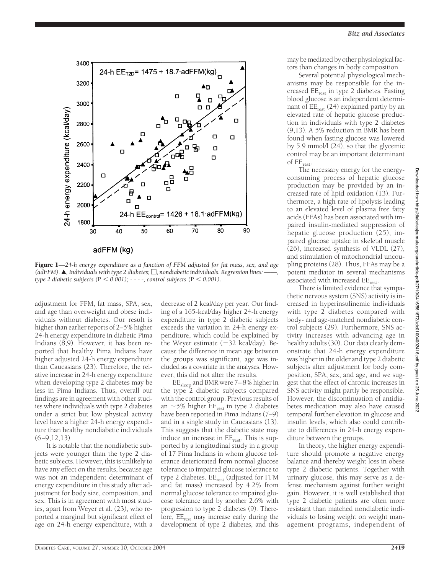

Figure 1—*24-h energy expenditure as a function of FFM adjusted for fat mass, sex, and age*  $(adFFM)$ .  $\blacktriangle$ , Individuals with type 2 diabetes;  $\Box$ , nondiabetic individuals. Regression lines: *type 2 diabetic subjects (*P *0.001); - - - -, control subjects (*P *0.001).*

adjustment for FFM, fat mass, SPA, sex, and age than overweight and obese individuals without diabetes. Our result is higher than earlier reports of 2–5% higher 24-h energy expenditure in diabetic Pima Indians (8,9). However, it has been reported that healthy Pima Indians have higher adjusted 24-h energy expenditure than Caucasians (23). Therefore, the relative increase in 24-h energy expenditure when developing type 2 diabetes may be less in Pima Indians. Thus, overall our findings are in agreement with other studies where individuals with type 2 diabetes under a strict but low physical activity level have a higher 24-h energy expenditure than healthy nondiabetic individuals  $(6-9, 12, 13)$ .

It is notable that the nondiabetic subjects were younger than the type 2 diabetic subjects. However, this is unlikely to have any effect on the results, because age was not an independent determinant of energy expenditure in this study after adjustment for body size, composition, and sex. This is in agreement with most studies, apart from Weyer et al. (23), who reported a marginal but significant effect of age on 24-h energy expenditure, with a

decrease of 2 kcal/day per year. Our finding of a 165-kcal/day higher 24-h energy expenditure in type 2 diabetic subjects exceeds the variation in 24-h energy expenditure, which could be explained by the Weyer estimate  $(-32 \text{ kcal/day})$ . Because the difference in mean age between the groups was significant, age was included as a covariate in the analyses. However, this did not alter the results.

EEsleep and BMR were 7–8% higher in the type 2 diabetic subjects compared with the control group. Previous results of an  $\sim$  5% higher EE<sub>rest</sub> in type 2 diabetes have been reported in Pima Indians (7–9) and in a single study in Caucasians (13). This suggests that the diabetic state may induce an increase in  $EE_{rest}$ . This is supported by a longitudinal study in a group of 17 Pima Indians in whom glucose tolerance deteriorated from normal glucose tolerance to impaired glucose tolerance to type 2 diabetes. EE<sub>rest</sub> (adjusted for FFM and fat mass) increased by 4.2% from normal glucose tolerance to impaired glucose tolerance and by another 2.6% with progression to type 2 diabetes (9). Therefore,  $EE_{rest}$  may increase early during the development of type 2 diabetes, and this

may be mediated by other physiological factors than changes in body composition.

Several potential physiological mechanisms may be responsible for the increased EErest in type 2 diabetes. Fasting blood glucose is an independent determinant of  $EE<sub>rest</sub>$  (24) explained partly by an elevated rate of hepatic glucose production in individuals with type 2 diabetes (9,13). A 5% reduction in BMR has been found when fasting glucose was lowered by 5.9 mmol/l (24), so that the glycemic control may be an important determinant of EErest.

The necessary energy for the energyconsuming process of hepatic glucose production may be provided by an increased rate of lipid oxidation (13). Furthermore, a high rate of lipolysis leading to an elevated level of plasma free fatty acids (FFAs) has been associated with impaired insulin-mediated suppression of hepatic glucose production (25), impaired glucose uptake in skeletal muscle (26), increased synthesis of VLDL (27), and stimulation of mitochondrial uncoupling proteins (28). Thus, FFAs may be a potent mediator in several mechanisms associated with increased  $EE_{\text{rest}}$ .

There is limited evidence that sympathetic nervous system (SNS) activity is increased in hyperinsulinemic individuals with type 2 diabetes compared with body- and age-matched nondiabetic control subjects (29). Furthermore, SNS activity increases with advancing age in healthy adults (30). Our data clearly demonstrate that 24-h energy expenditure was higher in the older and type 2 diabetic subjects after adjustment for body composition, SPA, sex, and age, and we suggest that the effect of chronic increases in SNS activity might partly be responsible. However, the discontinuation of antidiabetes medication may also have caused temporal further elevation in glucose and insulin levels, which also could contribute to differences in 24-h energy expenditure between the groups.

In theory, the higher energy expenditure should promote a negative energy balance and thereby weight loss in obese type 2 diabetic patients. Together with urinary glucose, this may serve as a defense mechanism against further weight gain. However, it is well established that type 2 diabetic patients are often more resistant than matched nondiabetic individuals to losing weight on weight management programs, independent of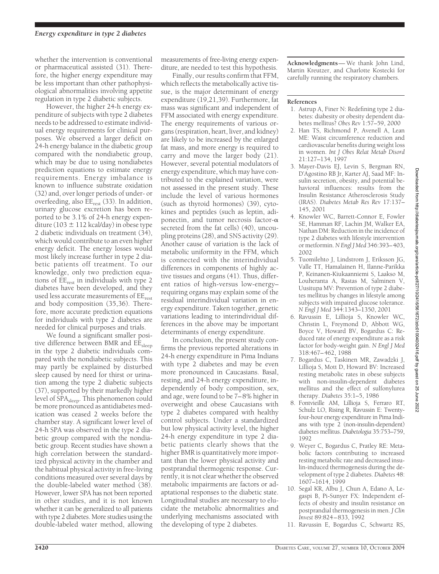whether the intervention is conventional or pharmaceutical assisted (31). Therefore, the higher energy expenditure may be less important than other pathophysiological abnormalities involving appetite regulation in type 2 diabetic subjects.

However, the higher 24-h energy expenditure of subjects with type 2 diabetes needs to be addressed to estimate individual energy requirements for clinical purposes. We observed a larger deficit on 24-h energy balance in the diabetic group compared with the nondiabetic group, which may be due to using nondiabetes prediction equations to estimate energy requirements. Energy imbalance is known to influence substrate oxidation (32) and, over longer periods of under- or overfeeding, also  $EE_{rest}$  (33). In addition, urinary glucose excretion has been reported to be 3.1% of 24-h energy expenditure (103  $\pm$  112 kcal/day) in obese type 2 diabetic individuals on treatment (34), which would contribute to an even higher energy deficit. The energy losses would most likely increase further in type 2 diabetic patients off treatment. To our knowledge, only two prediction equations of  $\overline{EE}_{rest}$  in individuals with type 2 diabetes have been developed, and they used less accurate measurements of EE<sub>rest</sub> and body composition (35,36). Therefore, more accurate prediction equations for individuals with type 2 diabetes are needed for clinical purposes and trials.

We found a significant smaller positive difference between BMR and EE<sub>sleep</sub> in the type 2 diabetic individuals compared with the nondiabetic subjects. This may partly be explained by disturbed sleep caused by need for thirst or urination among the type 2 diabetic subjects (37), supported by their markedly higher level of  $\overrightarrow{SPA}_{\text{sleep}}$ . This phenomenon could be more pronounced as antidiabetes medication was ceased 2 weeks before the chamber stay. A significant lower level of 24-h SPA was observed in the type 2 diabetic group compared with the nondiabetic group. Recent studies have shown a high correlation between the standardized physical activity in the chamber and the habitual physical activity in free-living conditions measured over several days by the double-labeled water method (38). However, lower SPA has not been reported in other studies, and it is not known whether it can be generalized to all patients with type 2 diabetes. More studies using the double-labeled water method, allowing measurements of free-living energy expenditure, are needed to test this hypothesis.

Finally, our results confirm that FFM, which reflects the metabolically active tissue, is the major determinant of energy expenditure (19,21,39). Furthermore, fat mass was significant and independent of FFM associated with energy expenditure. The energy requirements of various organs (respiration, heart, liver, and kidney) are likely to be increased by the enlarged fat mass, and more energy is required to carry and move the larger body (21). However, several potential modulators of energy expenditure, which may have contributed to the explained variation, were not assessed in the present study. These include the level of various hormones (such as thyroid hormones) (39), cytokines and peptides (such as leptin, adiponectin, and tumor necrosis factor- $\alpha$ secreted from the fat cells) (40), uncoupling proteins (28), and SNS activity (29). Another cause of variation is the lack of metabolic uniformity in the FFM, which is connected with the interindividual differences in components of highly active tissues and organs (41). Thus, different ratios of high-versus low-energy– requiring organs may explain some of the residual interindividual variation in energy expenditure. Taken together, genetic variations leading to interindividual differences in the above may be important determinants of energy expenditure.

In conclusion, the present study confirms the previous reported alterations in 24-h energy expenditure in Pima Indians with type 2 diabetes and may be even more pronounced in Caucasians. Basal, resting, and 24-h energy expenditure, independently of body composition, sex, and age, were found to be 7–8% higher in overweight and obese Caucasians with type 2 diabetes compared with healthy control subjects. Under a standardized but low physical activity level, the higher 24-h energy expenditure in type 2 diabetic patients clearly shows that the higher BMR is quantitatively more important than the lower physical activity and postprandial thermogenic response. Currently, it is not clear whether the observed metabolic impairments are factors or adaptational responses to the diabetic state. Longitudinal studies are necessary to elucidate the metabolic abnormalities and underlying mechanisms associated with the developing of type 2 diabetes.

**Acknowledgments**— We thank John Lind, Martin Kreutzer, and Charlotte Kostecki for carefully running the respiratory chambers.

#### **References**

- 1. Astrup A, Finer N: Redefining type 2 diabetes: diabesity or obesity dependent diabetes mellitus? *Obes Rev* 1:57–59, 2000
- 2. Han TS, Richmond P, Avenell A, Lean ME: Waist circumference reduction and cardiovascular benefits during weight loss in women. *Int J Obes Relat Metab Disord* 21:127–134, 1997
- 3. Mayer-Davis EJ, Levin S, Bergman RN, D'Agostino RB Jr, Karter AJ, Saad MF: Insulin secretion, obesity, and potential behavioral influences: results from the Insulin Resistance Atherosclerosis Study (IRAS). *Diabetes Metab Res Rev* 17:137– 145, 2001
- 4. Knowler WC, Barrett-Connor E, Fowler SE, Hamman RF, Lachin JM, Walker EA, Nathan DM: Reduction in the incidence of type 2 diabetes with lifestyle intervention or metformin.*N Engl J Med* 346:393–403, 2002
- 5. Tuomilehto J, Lindstrom J, Eriksson JG, Valle TT, Hamalainen H, Ilanne-Parikka P, Keinanen-Kiukaanniemi S, Laakso M, Louheranta A, Rastas M, Salminen V, Uusitupa MV: Prevention of type 2 diabetes mellitus by changes in lifestyle among subjects with impaired glucose tolerance. *N Engl J Med* 344:1343–1350, 2001
- 6. Ravussin E, Lillioja S, Knowler WC, Christin L, Freymond D, Abbott WG, Boyce V, Howard BV, Bogardus C: Reduced rate of energy expenditure as a risk factor for body-weight gain. *N Engl J Med* 318:467–462, 1988
- 7. Bogardus C, Taskinen MR, Zawadzki J, Lillioja S, Mott D, Howard BV: Increased resting metabolic rates in obese subjects with non-insulin-dependent diabetes mellitus and the effect of sulfonylurea therapy. *Diabetes* 35:1–5, 1986
- 8. Fontvieille AM, Lillioja S, Ferraro RT, Schulz LO, Rising R, Ravussin E: Twentyfour-hour energy expenditure in Pima Indians with type 2 (non-insulin-dependent) diabetes mellitus. *Diabetologia* 35:753–759, 1992
- 9. Weyer C, Bogardus C, Pratley RE: Metabolic factors contributing to increased resting metabolic rate and decreased insulin-induced thermogenesis during the development of type 2 diabetes. *Diabetes* 48: 1607–1614, 1999
- 10. Segal KR, Albu J, Chun A, Edano A, Legaspi B, Pi-Sunyer FX: Independent effects of obesity and insulin resistance on postprandial thermogenesis in men. *J Clin Invest* 89:824–833, 1992
- 11. Ravussin E, Bogardus C, Schwartz RS,